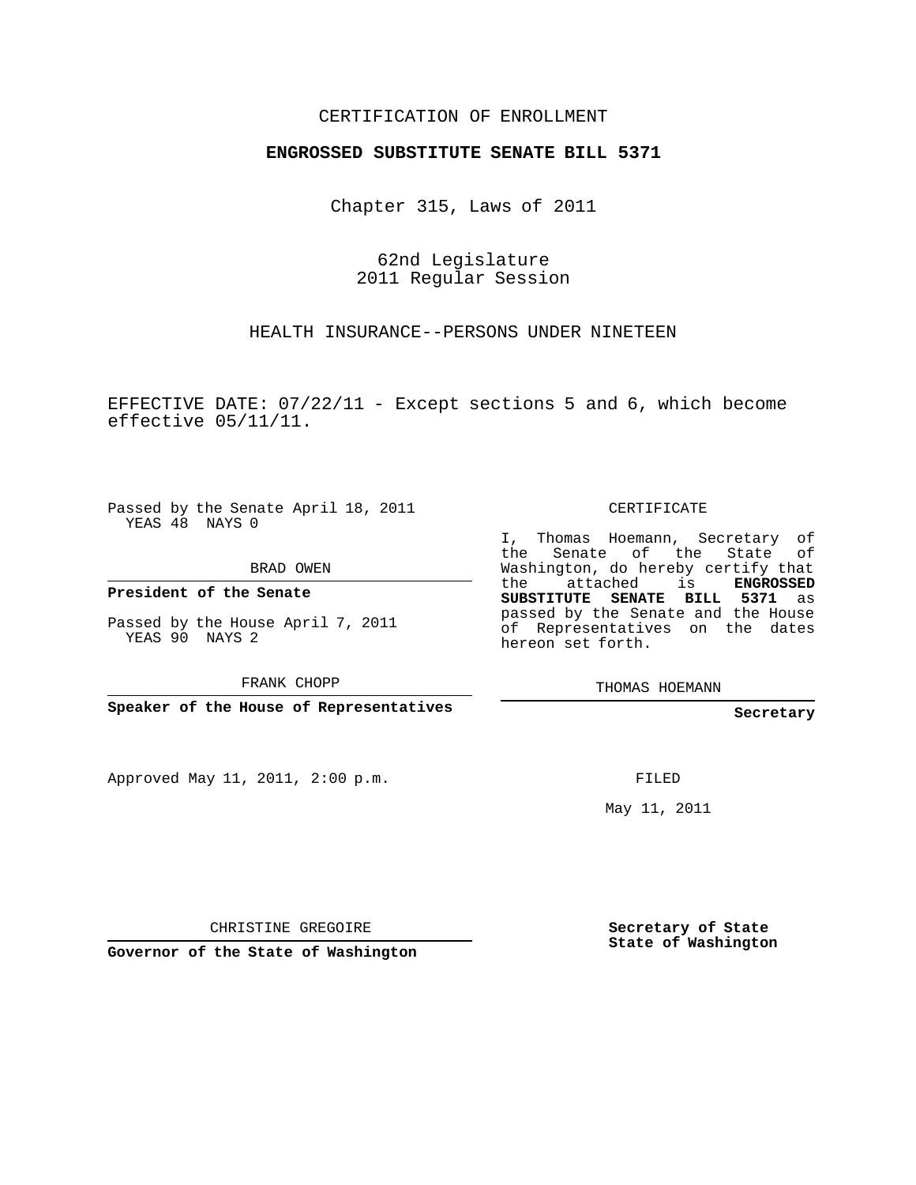## CERTIFICATION OF ENROLLMENT

## **ENGROSSED SUBSTITUTE SENATE BILL 5371**

Chapter 315, Laws of 2011

62nd Legislature 2011 Regular Session

HEALTH INSURANCE--PERSONS UNDER NINETEEN

EFFECTIVE DATE:  $07/22/11$  - Except sections 5 and 6, which become effective 05/11/11.

Passed by the Senate April 18, 2011 YEAS 48 NAYS 0

BRAD OWEN

**President of the Senate**

Passed by the House April 7, 2011 YEAS 90 NAYS 2

FRANK CHOPP

**Speaker of the House of Representatives**

Approved May 11, 2011, 2:00 p.m.

CERTIFICATE

I, Thomas Hoemann, Secretary of the Senate of the State of Washington, do hereby certify that the attached is **ENGROSSED SUBSTITUTE SENATE BILL 5371** as passed by the Senate and the House of Representatives on the dates hereon set forth.

THOMAS HOEMANN

**Secretary**

FILED

May 11, 2011

CHRISTINE GREGOIRE

**Governor of the State of Washington**

**Secretary of State State of Washington**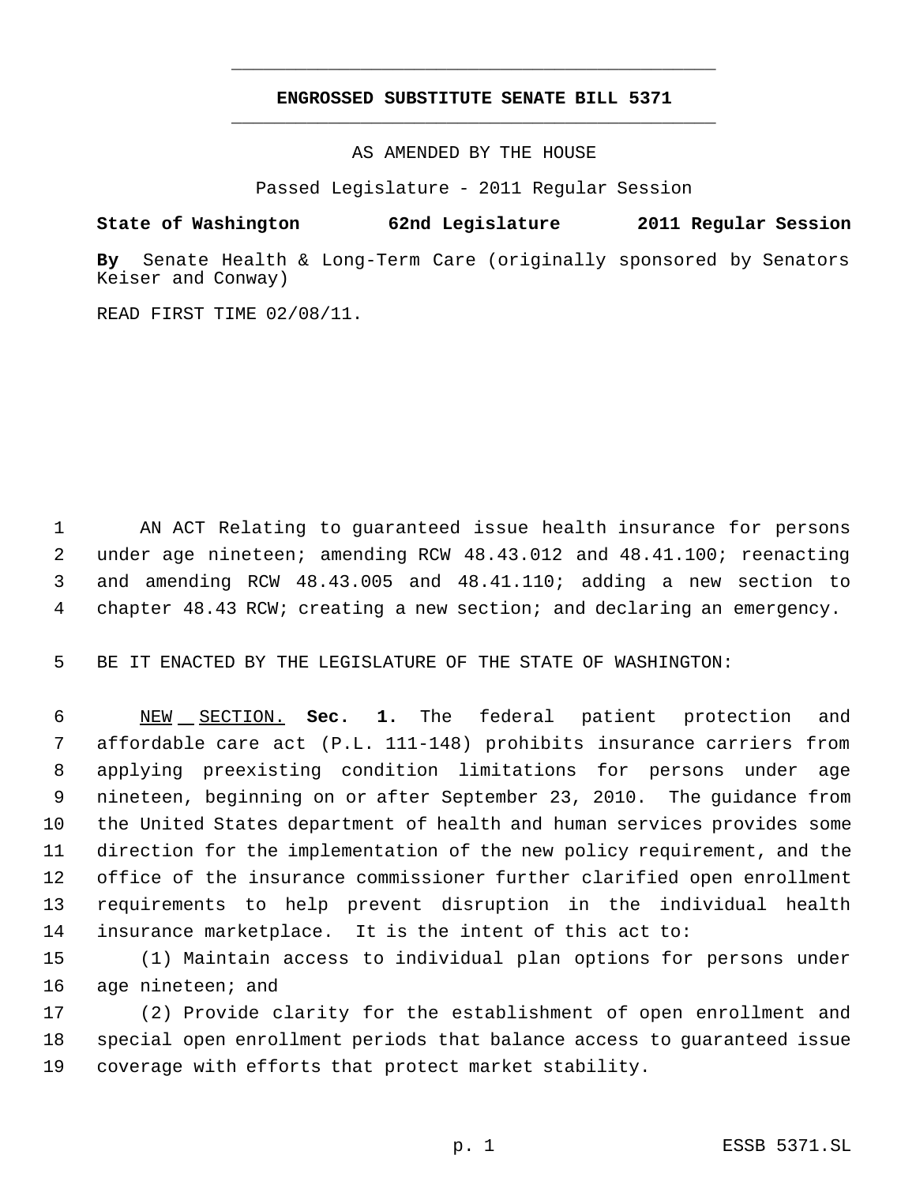## **ENGROSSED SUBSTITUTE SENATE BILL 5371** \_\_\_\_\_\_\_\_\_\_\_\_\_\_\_\_\_\_\_\_\_\_\_\_\_\_\_\_\_\_\_\_\_\_\_\_\_\_\_\_\_\_\_\_\_

\_\_\_\_\_\_\_\_\_\_\_\_\_\_\_\_\_\_\_\_\_\_\_\_\_\_\_\_\_\_\_\_\_\_\_\_\_\_\_\_\_\_\_\_\_

AS AMENDED BY THE HOUSE

Passed Legislature - 2011 Regular Session

## **State of Washington 62nd Legislature 2011 Regular Session**

**By** Senate Health & Long-Term Care (originally sponsored by Senators Keiser and Conway)

READ FIRST TIME 02/08/11.

 AN ACT Relating to guaranteed issue health insurance for persons under age nineteen; amending RCW 48.43.012 and 48.41.100; reenacting and amending RCW 48.43.005 and 48.41.110; adding a new section to chapter 48.43 RCW; creating a new section; and declaring an emergency.

BE IT ENACTED BY THE LEGISLATURE OF THE STATE OF WASHINGTON:

 NEW SECTION. **Sec. 1.** The federal patient protection and affordable care act (P.L. 111-148) prohibits insurance carriers from applying preexisting condition limitations for persons under age nineteen, beginning on or after September 23, 2010. The guidance from the United States department of health and human services provides some direction for the implementation of the new policy requirement, and the office of the insurance commissioner further clarified open enrollment requirements to help prevent disruption in the individual health insurance marketplace. It is the intent of this act to:

 (1) Maintain access to individual plan options for persons under 16 age nineteen; and

 (2) Provide clarity for the establishment of open enrollment and special open enrollment periods that balance access to guaranteed issue coverage with efforts that protect market stability.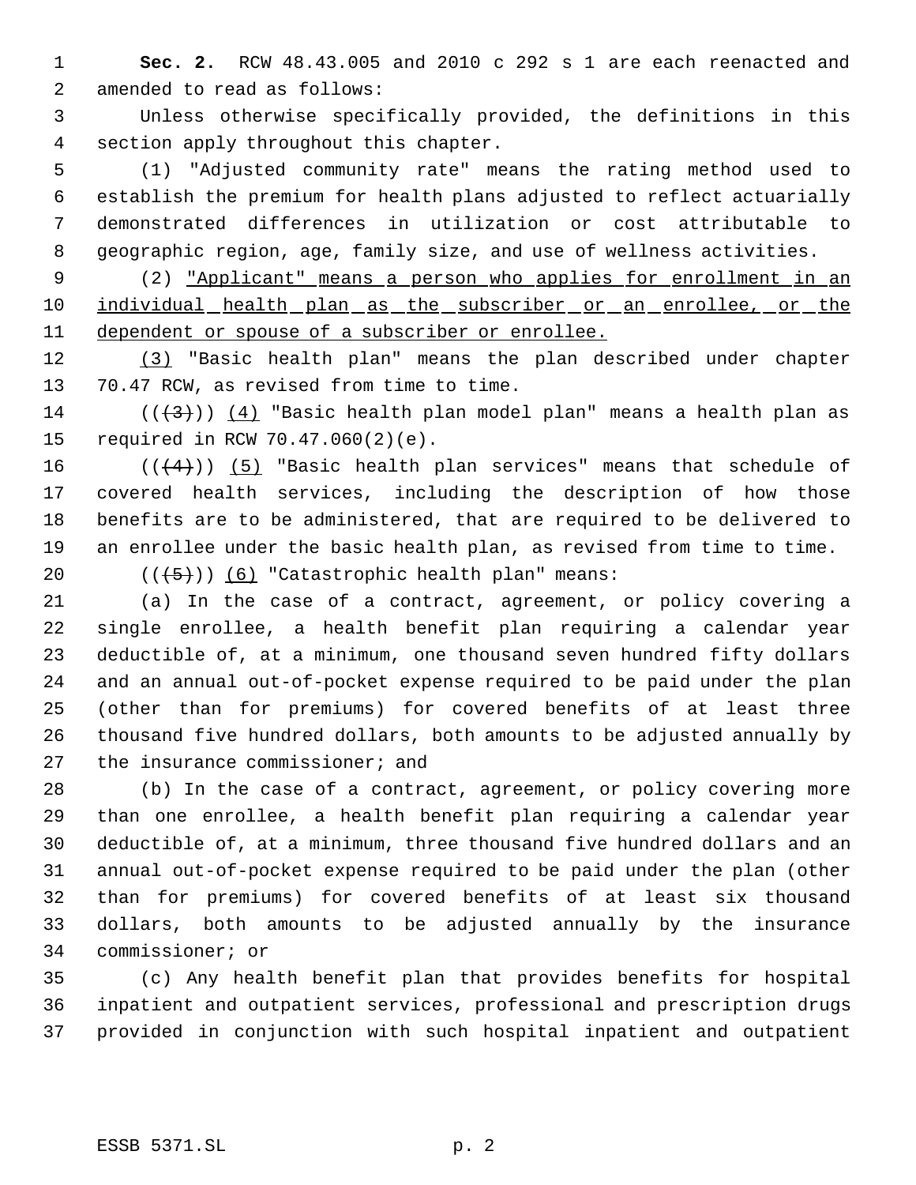**Sec. 2.** RCW 48.43.005 and 2010 c 292 s 1 are each reenacted and amended to read as follows:

 Unless otherwise specifically provided, the definitions in this section apply throughout this chapter.

 (1) "Adjusted community rate" means the rating method used to establish the premium for health plans adjusted to reflect actuarially demonstrated differences in utilization or cost attributable to geographic region, age, family size, and use of wellness activities.

 (2) "Applicant" means a person who applies for enrollment in an 10 individual health plan as the subscriber or an enrollee, or the 11 dependent or spouse of a subscriber or enrollee.

 (3) "Basic health plan" means the plan described under chapter 70.47 RCW, as revised from time to time.

14 ( $(\langle 3 \rangle)$ ) (4) "Basic health plan model plan" means a health plan as required in RCW 70.47.060(2)(e).

 $((+4))$  (5) "Basic health plan services" means that schedule of covered health services, including the description of how those benefits are to be administered, that are required to be delivered to an enrollee under the basic health plan, as revised from time to time.

20  $((+5))$   $(6)$  "Catastrophic health plan" means:

 (a) In the case of a contract, agreement, or policy covering a single enrollee, a health benefit plan requiring a calendar year deductible of, at a minimum, one thousand seven hundred fifty dollars and an annual out-of-pocket expense required to be paid under the plan (other than for premiums) for covered benefits of at least three thousand five hundred dollars, both amounts to be adjusted annually by 27 the insurance commissioner; and

 (b) In the case of a contract, agreement, or policy covering more than one enrollee, a health benefit plan requiring a calendar year deductible of, at a minimum, three thousand five hundred dollars and an annual out-of-pocket expense required to be paid under the plan (other than for premiums) for covered benefits of at least six thousand dollars, both amounts to be adjusted annually by the insurance commissioner; or

 (c) Any health benefit plan that provides benefits for hospital inpatient and outpatient services, professional and prescription drugs provided in conjunction with such hospital inpatient and outpatient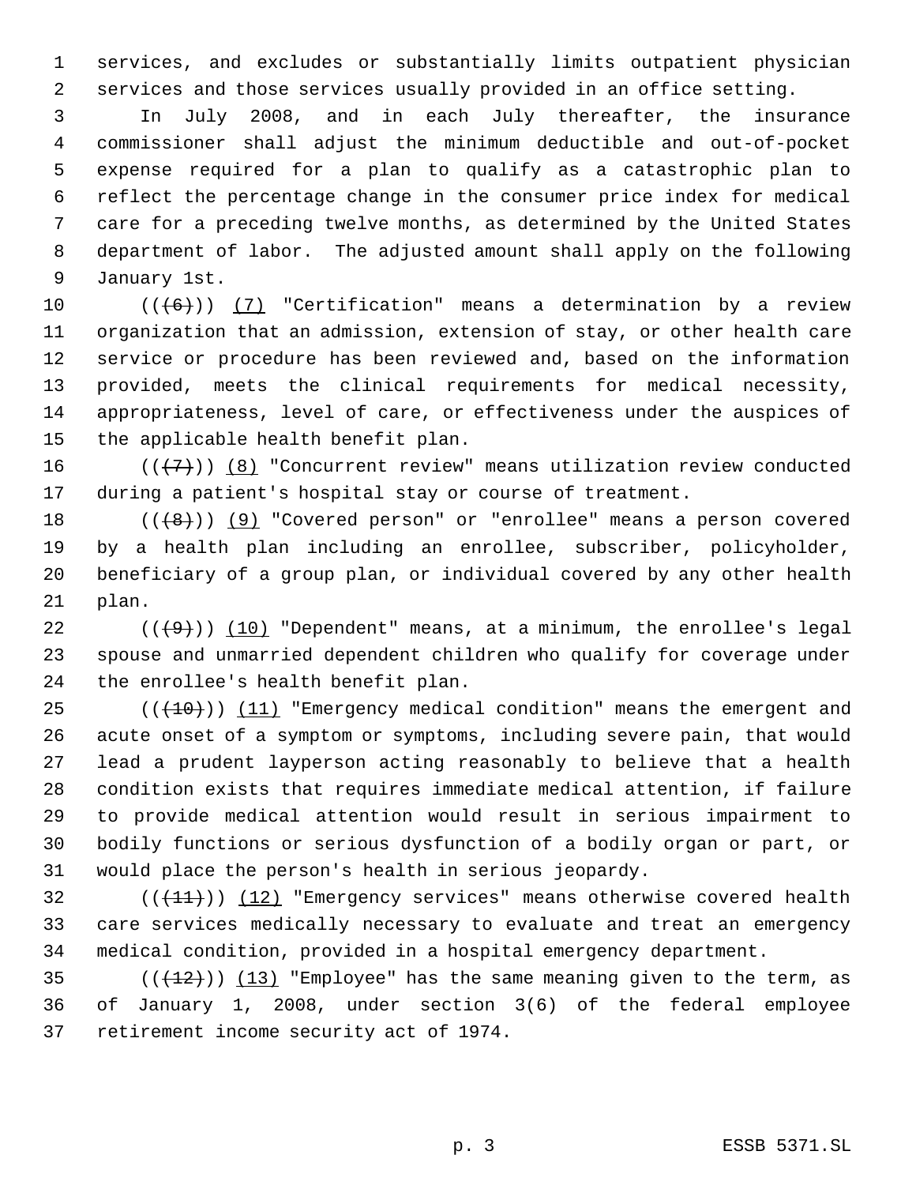services, and excludes or substantially limits outpatient physician services and those services usually provided in an office setting.

 In July 2008, and in each July thereafter, the insurance commissioner shall adjust the minimum deductible and out-of-pocket expense required for a plan to qualify as a catastrophic plan to reflect the percentage change in the consumer price index for medical care for a preceding twelve months, as determined by the United States department of labor. The adjusted amount shall apply on the following January 1st.

 $((+6))$   $(7)$  "Certification" means a determination by a review organization that an admission, extension of stay, or other health care service or procedure has been reviewed and, based on the information provided, meets the clinical requirements for medical necessity, appropriateness, level of care, or effectiveness under the auspices of the applicable health benefit plan.

16  $((+7))$   $(8)$  "Concurrent review" means utilization review conducted during a patient's hospital stay or course of treatment.

 $((+8))$   $(9)$  "Covered person" or "enrollee" means a person covered by a health plan including an enrollee, subscriber, policyholder, beneficiary of a group plan, or individual covered by any other health plan.

22  $((+9))$   $(10)$  "Dependent" means, at a minimum, the enrollee's legal spouse and unmarried dependent children who qualify for coverage under the enrollee's health benefit plan.

 (( $(10)$ )) (11) "Emergency medical condition" means the emergent and acute onset of a symptom or symptoms, including severe pain, that would lead a prudent layperson acting reasonably to believe that a health condition exists that requires immediate medical attention, if failure to provide medical attention would result in serious impairment to bodily functions or serious dysfunction of a bodily organ or part, or would place the person's health in serious jeopardy.

32  $((+11))$   $(12)$  "Emergency services" means otherwise covered health care services medically necessary to evaluate and treat an emergency medical condition, provided in a hospital emergency department.

35  $((+12))$   $(13)$  "Employee" has the same meaning given to the term, as of January 1, 2008, under section 3(6) of the federal employee retirement income security act of 1974.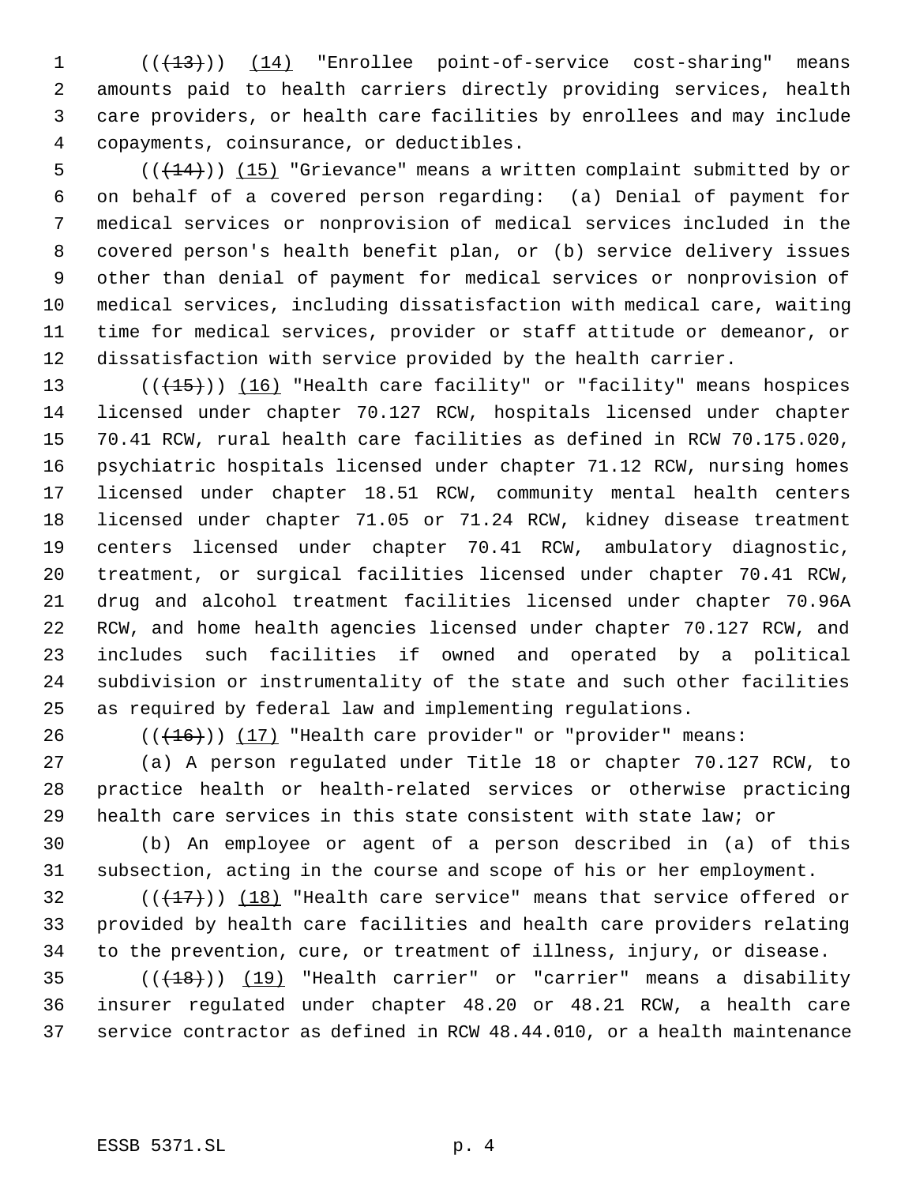1 (( $\left(\frac{13}{13}\right)$ ) (14) "Enrollee point-of-service cost-sharing" means amounts paid to health carriers directly providing services, health care providers, or health care facilities by enrollees and may include copayments, coinsurance, or deductibles.

5 (( $(14)$ )) (15) "Grievance" means a written complaint submitted by or on behalf of a covered person regarding: (a) Denial of payment for medical services or nonprovision of medical services included in the covered person's health benefit plan, or (b) service delivery issues other than denial of payment for medical services or nonprovision of medical services, including dissatisfaction with medical care, waiting time for medical services, provider or staff attitude or demeanor, or dissatisfaction with service provided by the health carrier.

13 (((15))) (16) "Health care facility" or "facility" means hospices licensed under chapter 70.127 RCW, hospitals licensed under chapter 70.41 RCW, rural health care facilities as defined in RCW 70.175.020, psychiatric hospitals licensed under chapter 71.12 RCW, nursing homes licensed under chapter 18.51 RCW, community mental health centers licensed under chapter 71.05 or 71.24 RCW, kidney disease treatment centers licensed under chapter 70.41 RCW, ambulatory diagnostic, treatment, or surgical facilities licensed under chapter 70.41 RCW, drug and alcohol treatment facilities licensed under chapter 70.96A RCW, and home health agencies licensed under chapter 70.127 RCW, and includes such facilities if owned and operated by a political subdivision or instrumentality of the state and such other facilities as required by federal law and implementing regulations.

26  $((+16))$   $(17)$  "Health care provider" or "provider" means:

 (a) A person regulated under Title 18 or chapter 70.127 RCW, to practice health or health-related services or otherwise practicing health care services in this state consistent with state law; or

 (b) An employee or agent of a person described in (a) of this subsection, acting in the course and scope of his or her employment.

32  $((+17))$  (18) "Health care service" means that service offered or provided by health care facilities and health care providers relating to the prevention, cure, or treatment of illness, injury, or disease.

35  $((+18))$   $(19)$  "Health carrier" or "carrier" means a disability insurer regulated under chapter 48.20 or 48.21 RCW, a health care service contractor as defined in RCW 48.44.010, or a health maintenance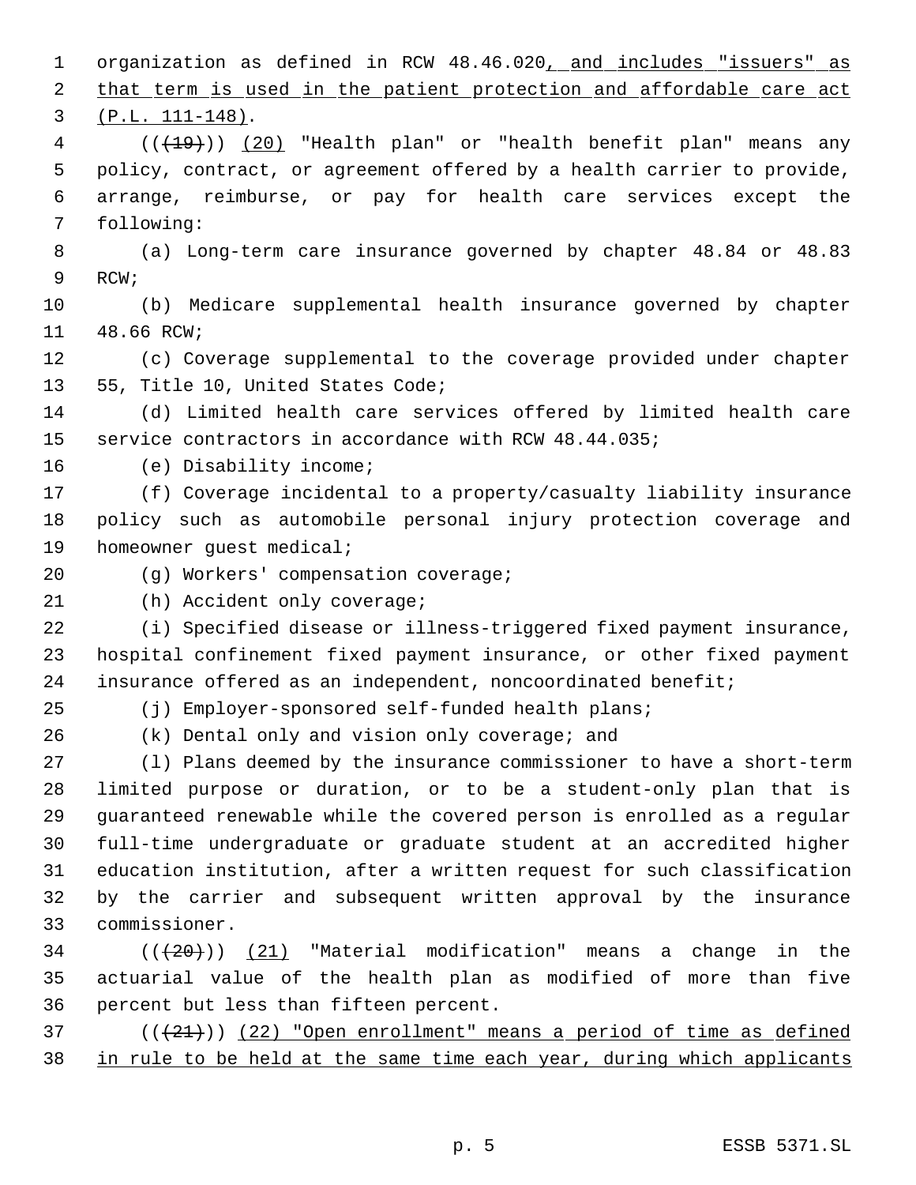1 organization as defined in RCW 48.46.020, and includes "issuers" as 2 that term is used in the patient protection and affordable care act (P.L. 111-148). 4 (( $(19)$ )) (20) "Health plan" or "health benefit plan" means any policy, contract, or agreement offered by a health carrier to provide, arrange, reimburse, or pay for health care services except the following: (a) Long-term care insurance governed by chapter 48.84 or 48.83 RCW; (b) Medicare supplemental health insurance governed by chapter 48.66 RCW; (c) Coverage supplemental to the coverage provided under chapter 55, Title 10, United States Code; (d) Limited health care services offered by limited health care service contractors in accordance with RCW 48.44.035; (e) Disability income; (f) Coverage incidental to a property/casualty liability insurance policy such as automobile personal injury protection coverage and homeowner guest medical; (g) Workers' compensation coverage; 21 (h) Accident only coverage; (i) Specified disease or illness-triggered fixed payment insurance, hospital confinement fixed payment insurance, or other fixed payment insurance offered as an independent, noncoordinated benefit; (j) Employer-sponsored self-funded health plans; (k) Dental only and vision only coverage; and (l) Plans deemed by the insurance commissioner to have a short-term limited purpose or duration, or to be a student-only plan that is guaranteed renewable while the covered person is enrolled as a regular full-time undergraduate or graduate student at an accredited higher education institution, after a written request for such classification by the carrier and subsequent written approval by the insurance commissioner. ( $(\overline{+20})$ )  $(21)$  "Material modification" means a change in the actuarial value of the health plan as modified of more than five percent but less than fifteen percent. ( $(\frac{21}{2})$ ) (22) "Open enrollment" means a period of time as defined 38 in rule to be held at the same time each year, during which applicants

p. 5 ESSB 5371.SL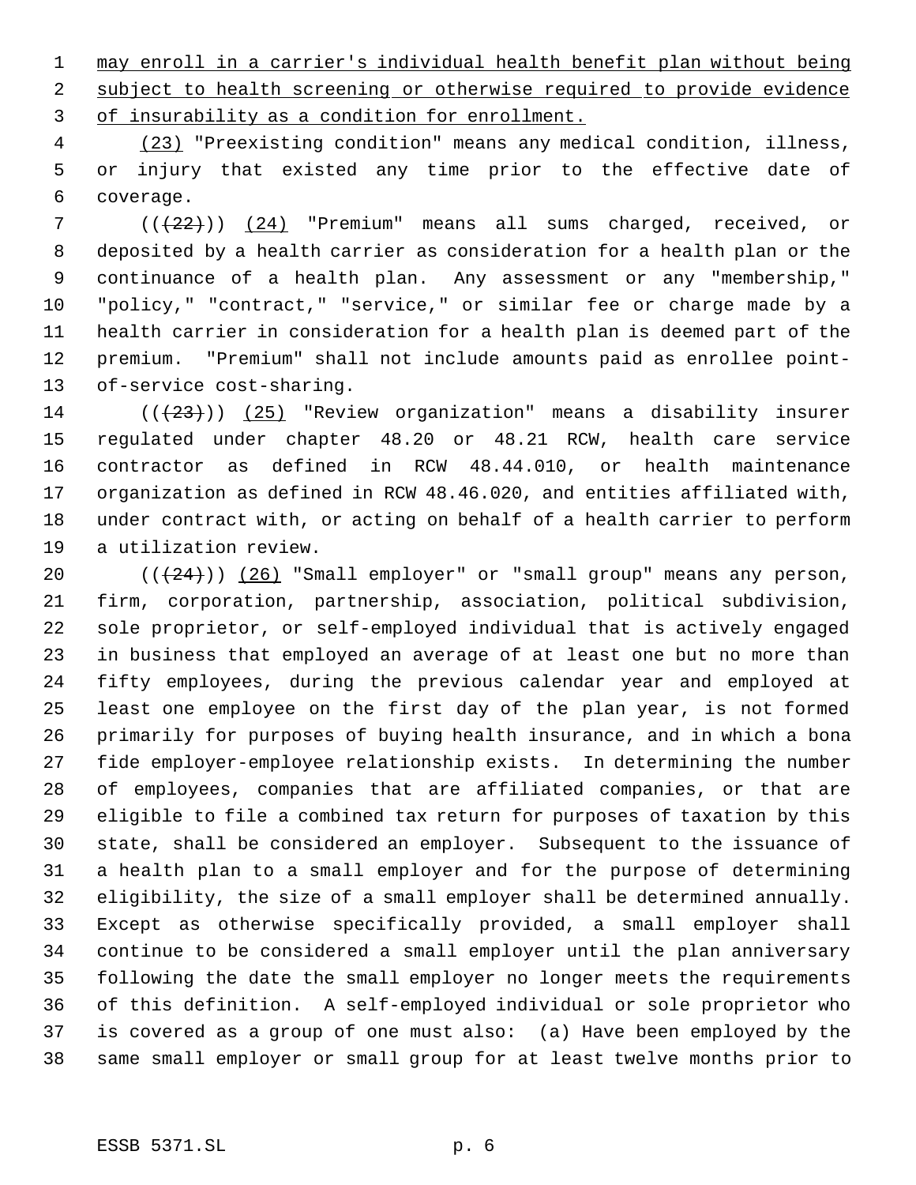may enroll in a carrier's individual health benefit plan without being subject to health screening or otherwise required to provide evidence of insurability as a condition for enrollment.

 (23) "Preexisting condition" means any medical condition, illness, or injury that existed any time prior to the effective date of coverage.

 (((22))) (24) "Premium" means all sums charged, received, or deposited by a health carrier as consideration for a health plan or the continuance of a health plan. Any assessment or any "membership," "policy," "contract," "service," or similar fee or charge made by a health carrier in consideration for a health plan is deemed part of the premium. "Premium" shall not include amounts paid as enrollee point-of-service cost-sharing.

14 ( $(\frac{23}{2})$ ) (25) "Review organization" means a disability insurer regulated under chapter 48.20 or 48.21 RCW, health care service contractor as defined in RCW 48.44.010, or health maintenance organization as defined in RCW 48.46.020, and entities affiliated with, under contract with, or acting on behalf of a health carrier to perform a utilization review.

 $((+24))$   $(26)$  "Small employer" or "small group" means any person, firm, corporation, partnership, association, political subdivision, sole proprietor, or self-employed individual that is actively engaged in business that employed an average of at least one but no more than fifty employees, during the previous calendar year and employed at least one employee on the first day of the plan year, is not formed primarily for purposes of buying health insurance, and in which a bona fide employer-employee relationship exists. In determining the number of employees, companies that are affiliated companies, or that are eligible to file a combined tax return for purposes of taxation by this state, shall be considered an employer. Subsequent to the issuance of a health plan to a small employer and for the purpose of determining eligibility, the size of a small employer shall be determined annually. Except as otherwise specifically provided, a small employer shall continue to be considered a small employer until the plan anniversary following the date the small employer no longer meets the requirements of this definition. A self-employed individual or sole proprietor who is covered as a group of one must also: (a) Have been employed by the same small employer or small group for at least twelve months prior to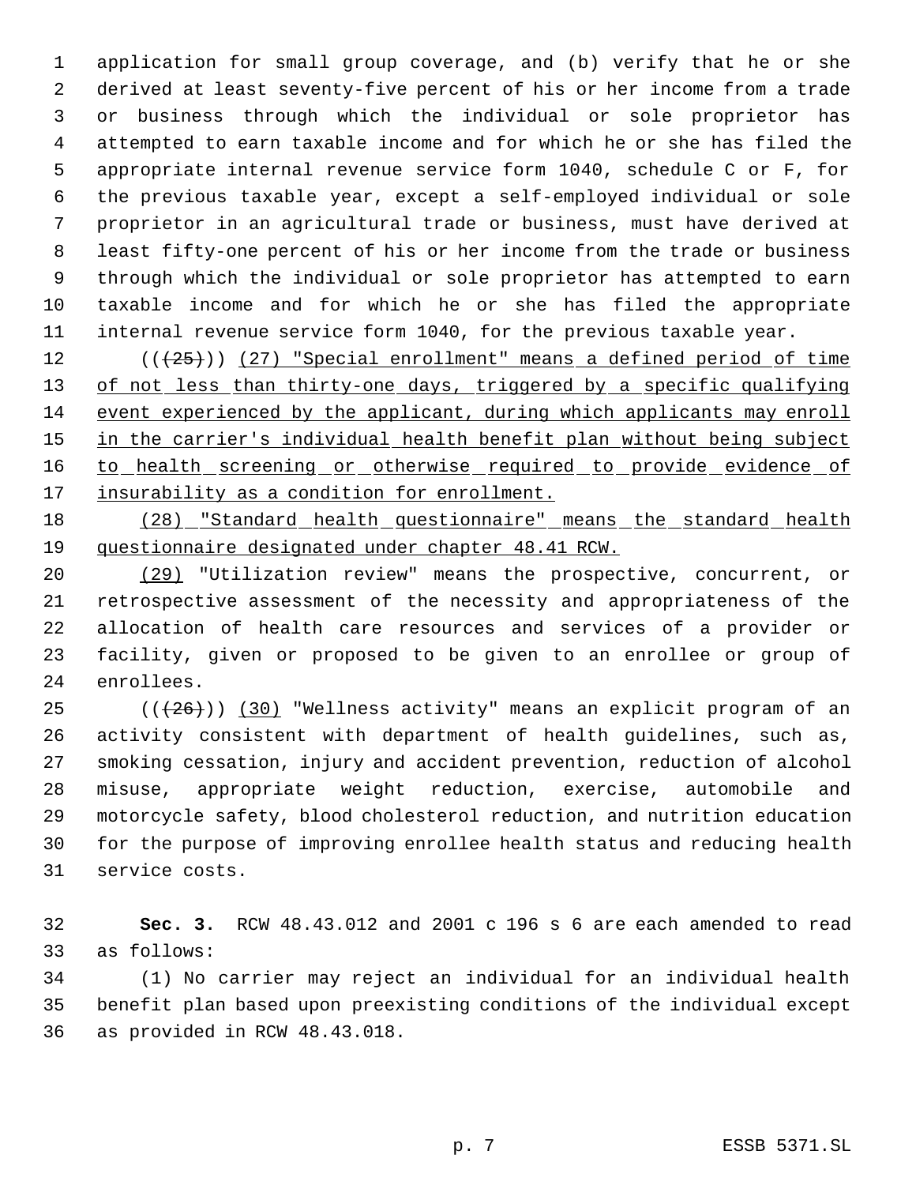application for small group coverage, and (b) verify that he or she derived at least seventy-five percent of his or her income from a trade or business through which the individual or sole proprietor has attempted to earn taxable income and for which he or she has filed the appropriate internal revenue service form 1040, schedule C or F, for the previous taxable year, except a self-employed individual or sole proprietor in an agricultural trade or business, must have derived at least fifty-one percent of his or her income from the trade or business through which the individual or sole proprietor has attempted to earn taxable income and for which he or she has filed the appropriate internal revenue service form 1040, for the previous taxable year.

12 (( $(25)$ )) (27) "Special enrollment" means a defined period of time 13 of not less than thirty-one days, triggered by a specific qualifying event experienced by the applicant, during which applicants may enroll 15 in the carrier's individual health benefit plan without being subject 16 to health screening or otherwise required to provide evidence of 17 insurability as a condition for enrollment.

 (28) "Standard health questionnaire" means the standard health questionnaire designated under chapter 48.41 RCW.

 (29) "Utilization review" means the prospective, concurrent, or retrospective assessment of the necessity and appropriateness of the allocation of health care resources and services of a provider or facility, given or proposed to be given to an enrollee or group of enrollees.

 (( $(26)$ )) (30) "Wellness activity" means an explicit program of an activity consistent with department of health guidelines, such as, smoking cessation, injury and accident prevention, reduction of alcohol misuse, appropriate weight reduction, exercise, automobile and motorcycle safety, blood cholesterol reduction, and nutrition education for the purpose of improving enrollee health status and reducing health service costs.

 **Sec. 3.** RCW 48.43.012 and 2001 c 196 s 6 are each amended to read as follows:

 (1) No carrier may reject an individual for an individual health benefit plan based upon preexisting conditions of the individual except as provided in RCW 48.43.018.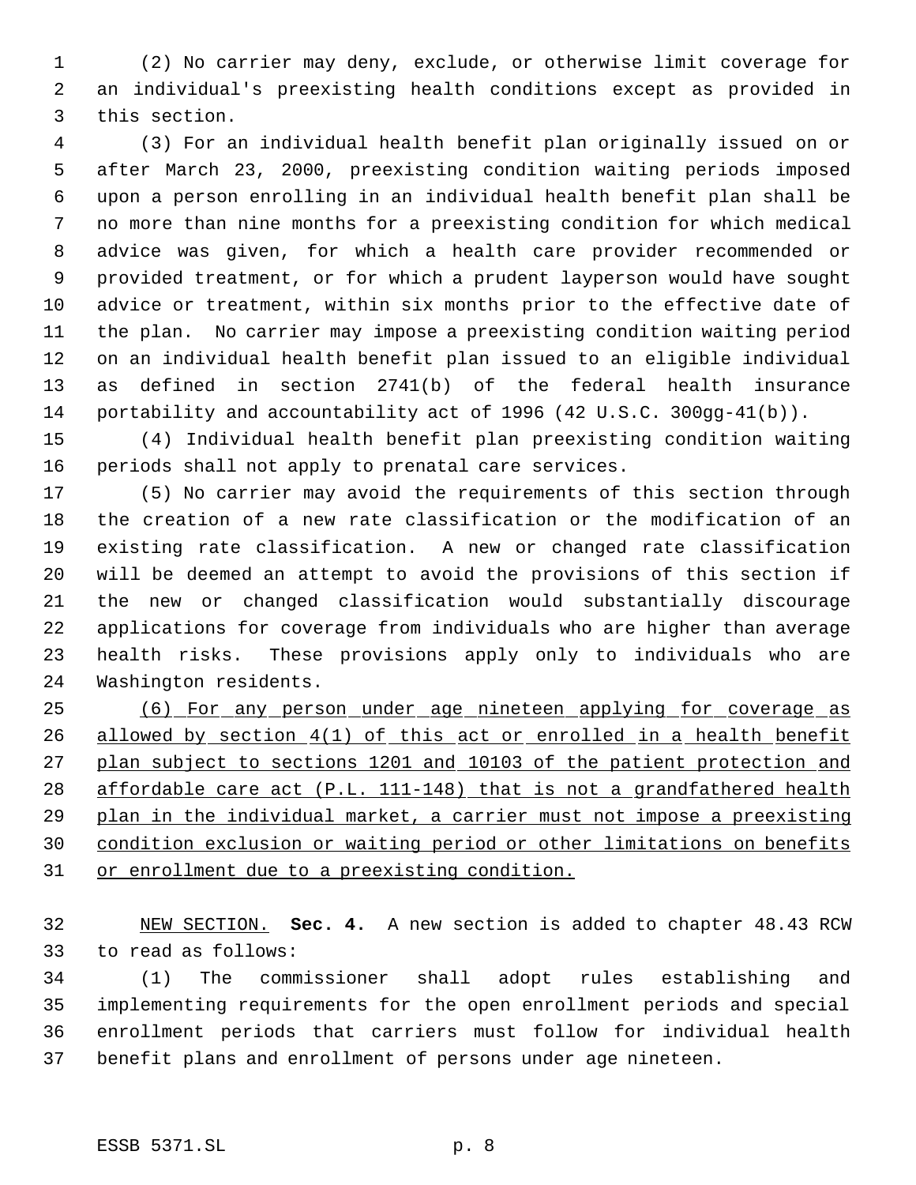(2) No carrier may deny, exclude, or otherwise limit coverage for an individual's preexisting health conditions except as provided in this section.

 (3) For an individual health benefit plan originally issued on or after March 23, 2000, preexisting condition waiting periods imposed upon a person enrolling in an individual health benefit plan shall be no more than nine months for a preexisting condition for which medical advice was given, for which a health care provider recommended or provided treatment, or for which a prudent layperson would have sought advice or treatment, within six months prior to the effective date of the plan. No carrier may impose a preexisting condition waiting period on an individual health benefit plan issued to an eligible individual as defined in section 2741(b) of the federal health insurance portability and accountability act of 1996 (42 U.S.C. 300gg-41(b)).

 (4) Individual health benefit plan preexisting condition waiting periods shall not apply to prenatal care services.

 (5) No carrier may avoid the requirements of this section through the creation of a new rate classification or the modification of an existing rate classification. A new or changed rate classification will be deemed an attempt to avoid the provisions of this section if the new or changed classification would substantially discourage applications for coverage from individuals who are higher than average health risks. These provisions apply only to individuals who are Washington residents.

 (6) For any person under age nineteen applying for coverage as 26 allowed by section 4(1) of this act or enrolled in a health benefit plan subject to sections 1201 and 10103 of the patient protection and affordable care act (P.L. 111-148) that is not a grandfathered health plan in the individual market, a carrier must not impose a preexisting condition exclusion or waiting period or other limitations on benefits or enrollment due to a preexisting condition.

 NEW SECTION. **Sec. 4.** A new section is added to chapter 48.43 RCW to read as follows:

 (1) The commissioner shall adopt rules establishing and implementing requirements for the open enrollment periods and special enrollment periods that carriers must follow for individual health benefit plans and enrollment of persons under age nineteen.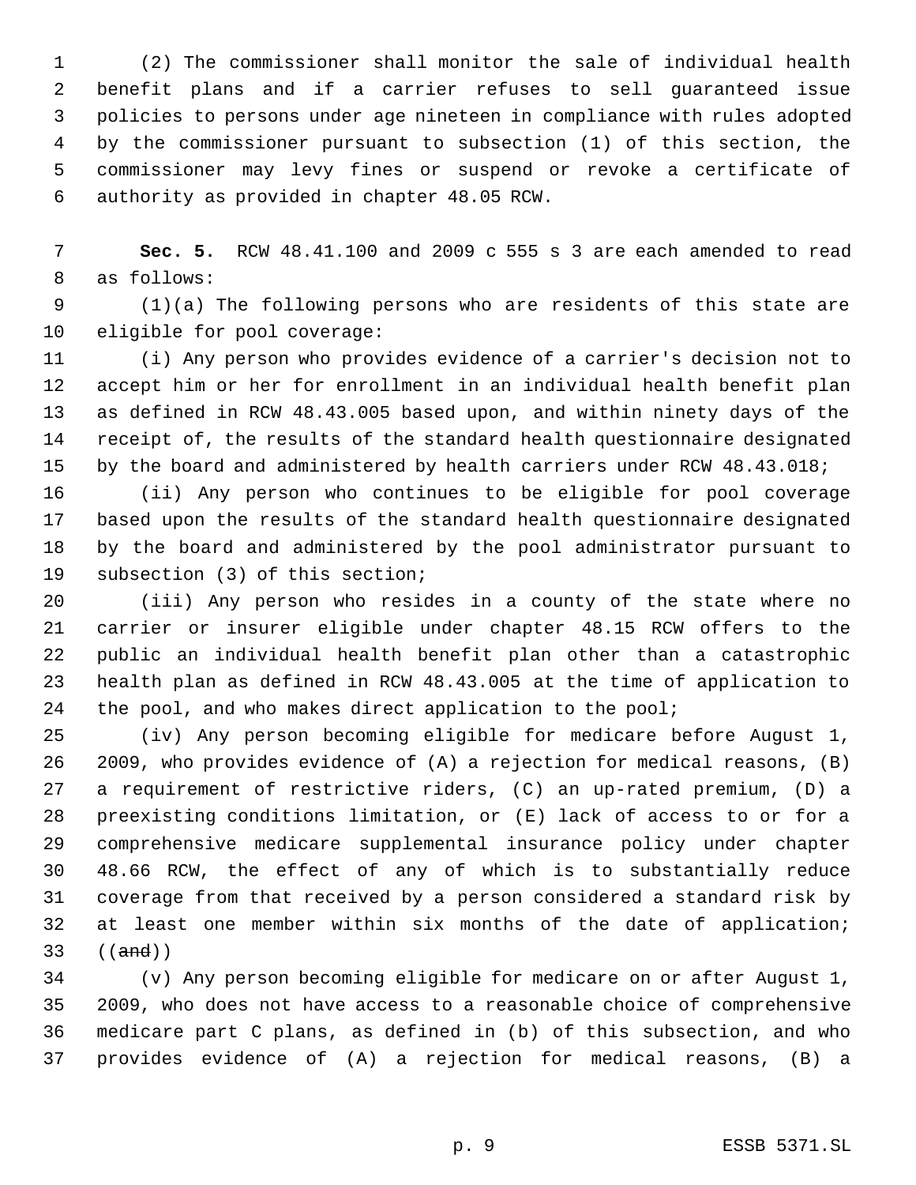(2) The commissioner shall monitor the sale of individual health benefit plans and if a carrier refuses to sell guaranteed issue policies to persons under age nineteen in compliance with rules adopted by the commissioner pursuant to subsection (1) of this section, the commissioner may levy fines or suspend or revoke a certificate of authority as provided in chapter 48.05 RCW.

 **Sec. 5.** RCW 48.41.100 and 2009 c 555 s 3 are each amended to read as follows:

 (1)(a) The following persons who are residents of this state are eligible for pool coverage:

 (i) Any person who provides evidence of a carrier's decision not to accept him or her for enrollment in an individual health benefit plan as defined in RCW 48.43.005 based upon, and within ninety days of the receipt of, the results of the standard health questionnaire designated by the board and administered by health carriers under RCW 48.43.018;

 (ii) Any person who continues to be eligible for pool coverage based upon the results of the standard health questionnaire designated by the board and administered by the pool administrator pursuant to subsection (3) of this section;

 (iii) Any person who resides in a county of the state where no carrier or insurer eligible under chapter 48.15 RCW offers to the public an individual health benefit plan other than a catastrophic health plan as defined in RCW 48.43.005 at the time of application to 24 the pool, and who makes direct application to the pool;

 (iv) Any person becoming eligible for medicare before August 1, 2009, who provides evidence of (A) a rejection for medical reasons, (B) a requirement of restrictive riders, (C) an up-rated premium, (D) a preexisting conditions limitation, or (E) lack of access to or for a comprehensive medicare supplemental insurance policy under chapter 48.66 RCW, the effect of any of which is to substantially reduce coverage from that received by a person considered a standard risk by at least one member within six months of the date of application; ((and))

 (v) Any person becoming eligible for medicare on or after August 1, 2009, who does not have access to a reasonable choice of comprehensive medicare part C plans, as defined in (b) of this subsection, and who provides evidence of (A) a rejection for medical reasons, (B) a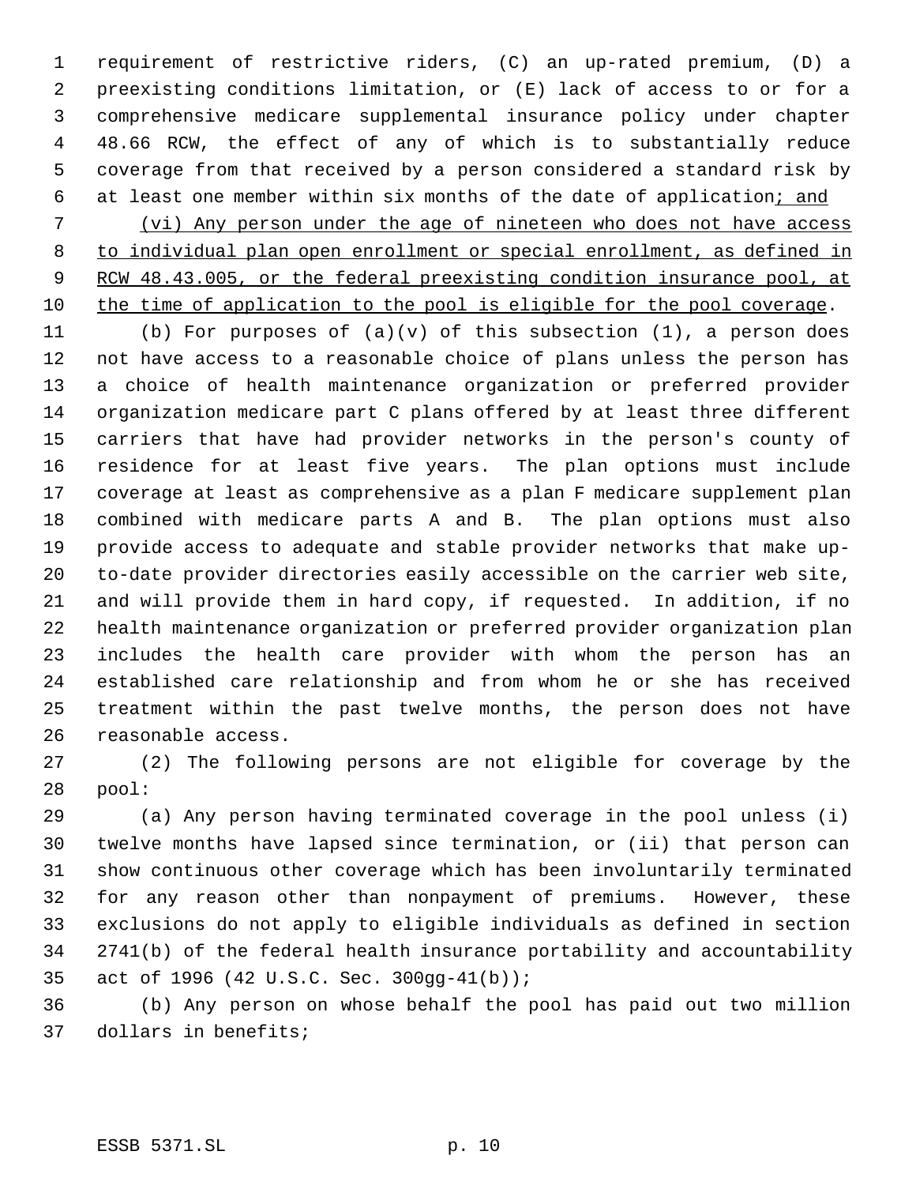requirement of restrictive riders, (C) an up-rated premium, (D) a preexisting conditions limitation, or (E) lack of access to or for a comprehensive medicare supplemental insurance policy under chapter 48.66 RCW, the effect of any of which is to substantially reduce coverage from that received by a person considered a standard risk by 6 at least one member within six months of the date of application; and

 (vi) Any person under the age of nineteen who does not have access to individual plan open enrollment or special enrollment, as defined in 9 RCW 48.43.005, or the federal preexisting condition insurance pool, at the time of application to the pool is eligible for the pool coverage.

 (b) For purposes of (a)(v) of this subsection (1), a person does not have access to a reasonable choice of plans unless the person has a choice of health maintenance organization or preferred provider organization medicare part C plans offered by at least three different carriers that have had provider networks in the person's county of residence for at least five years. The plan options must include coverage at least as comprehensive as a plan F medicare supplement plan combined with medicare parts A and B. The plan options must also provide access to adequate and stable provider networks that make up- to-date provider directories easily accessible on the carrier web site, and will provide them in hard copy, if requested. In addition, if no health maintenance organization or preferred provider organization plan includes the health care provider with whom the person has an established care relationship and from whom he or she has received treatment within the past twelve months, the person does not have reasonable access.

 (2) The following persons are not eligible for coverage by the pool:

 (a) Any person having terminated coverage in the pool unless (i) twelve months have lapsed since termination, or (ii) that person can show continuous other coverage which has been involuntarily terminated for any reason other than nonpayment of premiums. However, these exclusions do not apply to eligible individuals as defined in section 2741(b) of the federal health insurance portability and accountability act of 1996 (42 U.S.C. Sec. 300gg-41(b));

 (b) Any person on whose behalf the pool has paid out two million dollars in benefits;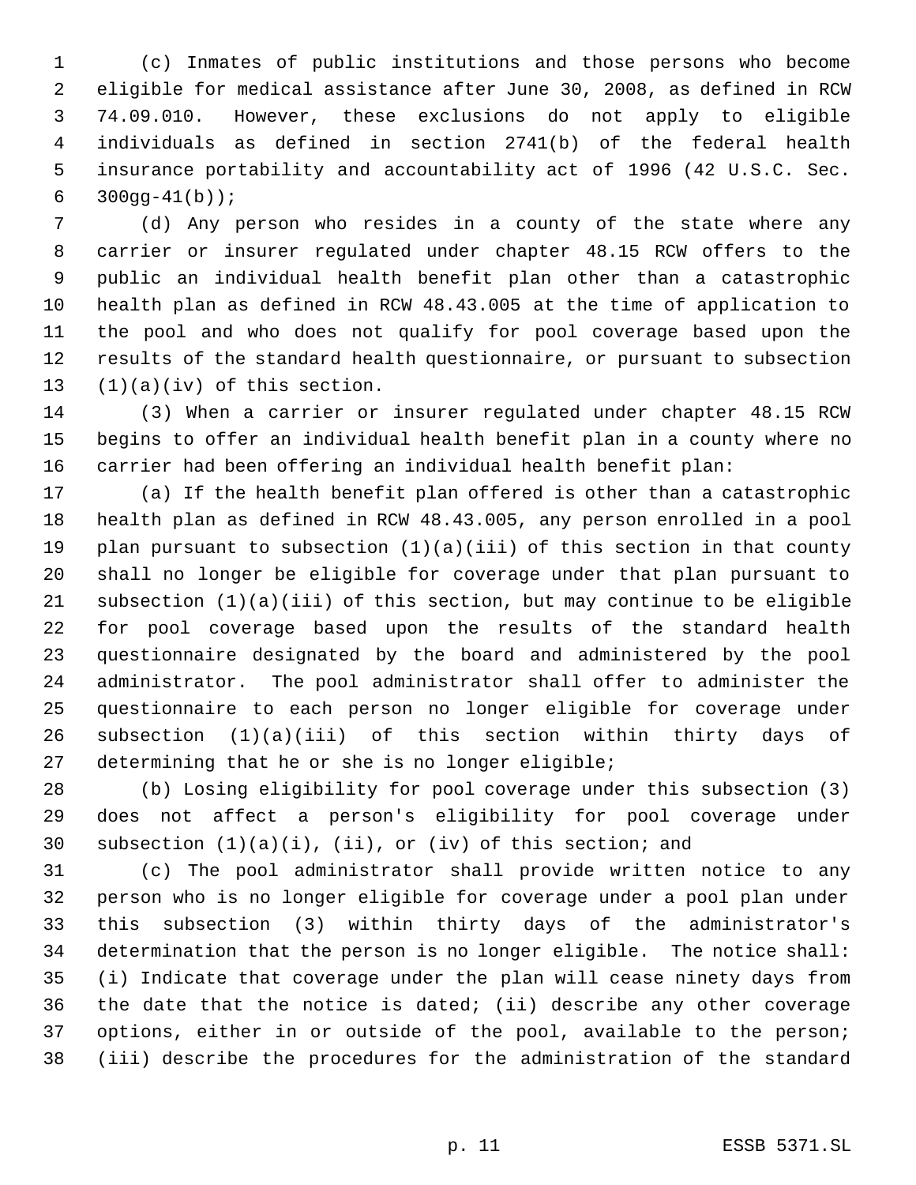(c) Inmates of public institutions and those persons who become eligible for medical assistance after June 30, 2008, as defined in RCW 74.09.010. However, these exclusions do not apply to eligible individuals as defined in section 2741(b) of the federal health insurance portability and accountability act of 1996 (42 U.S.C. Sec.  $300qq-41(b)$ ;

 (d) Any person who resides in a county of the state where any carrier or insurer regulated under chapter 48.15 RCW offers to the public an individual health benefit plan other than a catastrophic health plan as defined in RCW 48.43.005 at the time of application to the pool and who does not qualify for pool coverage based upon the results of the standard health questionnaire, or pursuant to subsection (1)(a)(iv) of this section.

 (3) When a carrier or insurer regulated under chapter 48.15 RCW begins to offer an individual health benefit plan in a county where no carrier had been offering an individual health benefit plan:

 (a) If the health benefit plan offered is other than a catastrophic health plan as defined in RCW 48.43.005, any person enrolled in a pool plan pursuant to subsection (1)(a)(iii) of this section in that county shall no longer be eligible for coverage under that plan pursuant to subsection (1)(a)(iii) of this section, but may continue to be eligible for pool coverage based upon the results of the standard health questionnaire designated by the board and administered by the pool administrator. The pool administrator shall offer to administer the questionnaire to each person no longer eligible for coverage under subsection (1)(a)(iii) of this section within thirty days of determining that he or she is no longer eligible;

 (b) Losing eligibility for pool coverage under this subsection (3) does not affect a person's eligibility for pool coverage under 30 subsection  $(1)(a)(i)$ ,  $(ii)$ , or  $(iv)$  of this section; and

 (c) The pool administrator shall provide written notice to any person who is no longer eligible for coverage under a pool plan under this subsection (3) within thirty days of the administrator's determination that the person is no longer eligible. The notice shall: (i) Indicate that coverage under the plan will cease ninety days from the date that the notice is dated; (ii) describe any other coverage options, either in or outside of the pool, available to the person; (iii) describe the procedures for the administration of the standard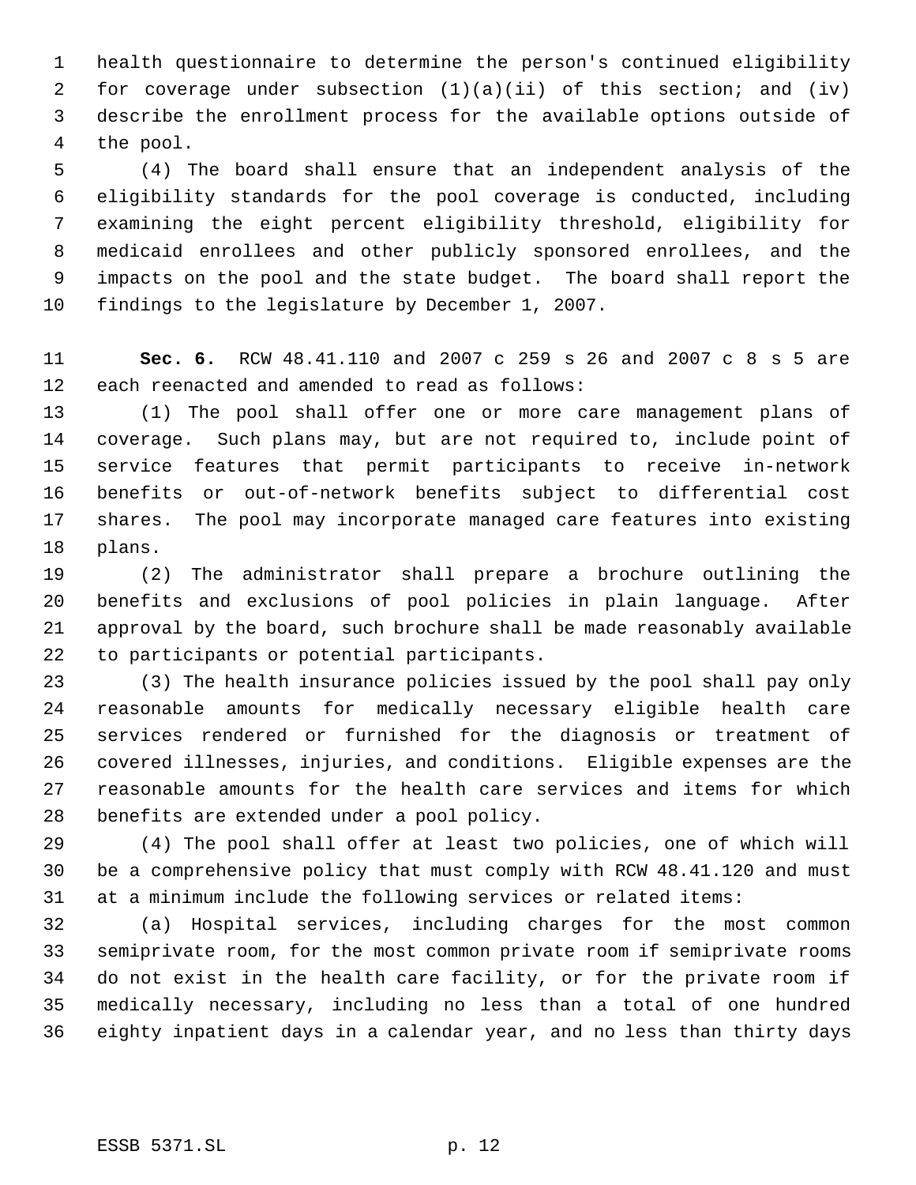health questionnaire to determine the person's continued eligibility for coverage under subsection (1)(a)(ii) of this section; and (iv) describe the enrollment process for the available options outside of the pool.

 (4) The board shall ensure that an independent analysis of the eligibility standards for the pool coverage is conducted, including examining the eight percent eligibility threshold, eligibility for medicaid enrollees and other publicly sponsored enrollees, and the impacts on the pool and the state budget. The board shall report the findings to the legislature by December 1, 2007.

 **Sec. 6.** RCW 48.41.110 and 2007 c 259 s 26 and 2007 c 8 s 5 are each reenacted and amended to read as follows:

 (1) The pool shall offer one or more care management plans of coverage. Such plans may, but are not required to, include point of service features that permit participants to receive in-network benefits or out-of-network benefits subject to differential cost shares. The pool may incorporate managed care features into existing plans.

 (2) The administrator shall prepare a brochure outlining the benefits and exclusions of pool policies in plain language. After approval by the board, such brochure shall be made reasonably available to participants or potential participants.

 (3) The health insurance policies issued by the pool shall pay only reasonable amounts for medically necessary eligible health care services rendered or furnished for the diagnosis or treatment of covered illnesses, injuries, and conditions. Eligible expenses are the reasonable amounts for the health care services and items for which benefits are extended under a pool policy.

 (4) The pool shall offer at least two policies, one of which will be a comprehensive policy that must comply with RCW 48.41.120 and must at a minimum include the following services or related items:

 (a) Hospital services, including charges for the most common semiprivate room, for the most common private room if semiprivate rooms do not exist in the health care facility, or for the private room if medically necessary, including no less than a total of one hundred eighty inpatient days in a calendar year, and no less than thirty days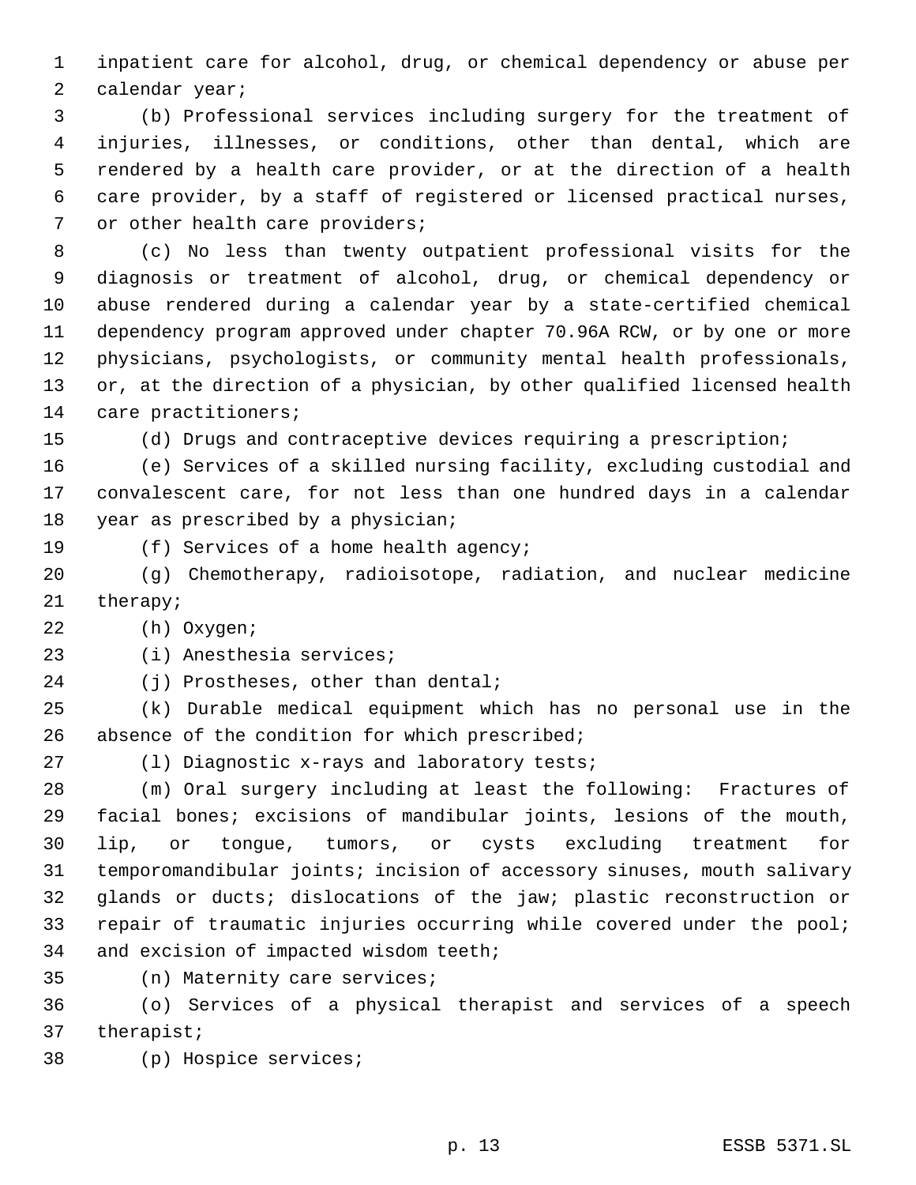inpatient care for alcohol, drug, or chemical dependency or abuse per calendar year;

 (b) Professional services including surgery for the treatment of injuries, illnesses, or conditions, other than dental, which are rendered by a health care provider, or at the direction of a health care provider, by a staff of registered or licensed practical nurses, 7 or other health care providers;

 (c) No less than twenty outpatient professional visits for the diagnosis or treatment of alcohol, drug, or chemical dependency or abuse rendered during a calendar year by a state-certified chemical dependency program approved under chapter 70.96A RCW, or by one or more physicians, psychologists, or community mental health professionals, or, at the direction of a physician, by other qualified licensed health care practitioners;

(d) Drugs and contraceptive devices requiring a prescription;

 (e) Services of a skilled nursing facility, excluding custodial and convalescent care, for not less than one hundred days in a calendar year as prescribed by a physician;

(f) Services of a home health agency;

 (g) Chemotherapy, radioisotope, radiation, and nuclear medicine therapy;

(h) Oxygen;

(i) Anesthesia services;

24 (j) Prostheses, other than dental;

 (k) Durable medical equipment which has no personal use in the 26 absence of the condition for which prescribed;

(l) Diagnostic x-rays and laboratory tests;

 (m) Oral surgery including at least the following: Fractures of facial bones; excisions of mandibular joints, lesions of the mouth, lip, or tongue, tumors, or cysts excluding treatment for temporomandibular joints; incision of accessory sinuses, mouth salivary glands or ducts; dislocations of the jaw; plastic reconstruction or repair of traumatic injuries occurring while covered under the pool; and excision of impacted wisdom teeth;

(n) Maternity care services;

 (o) Services of a physical therapist and services of a speech therapist;

(p) Hospice services;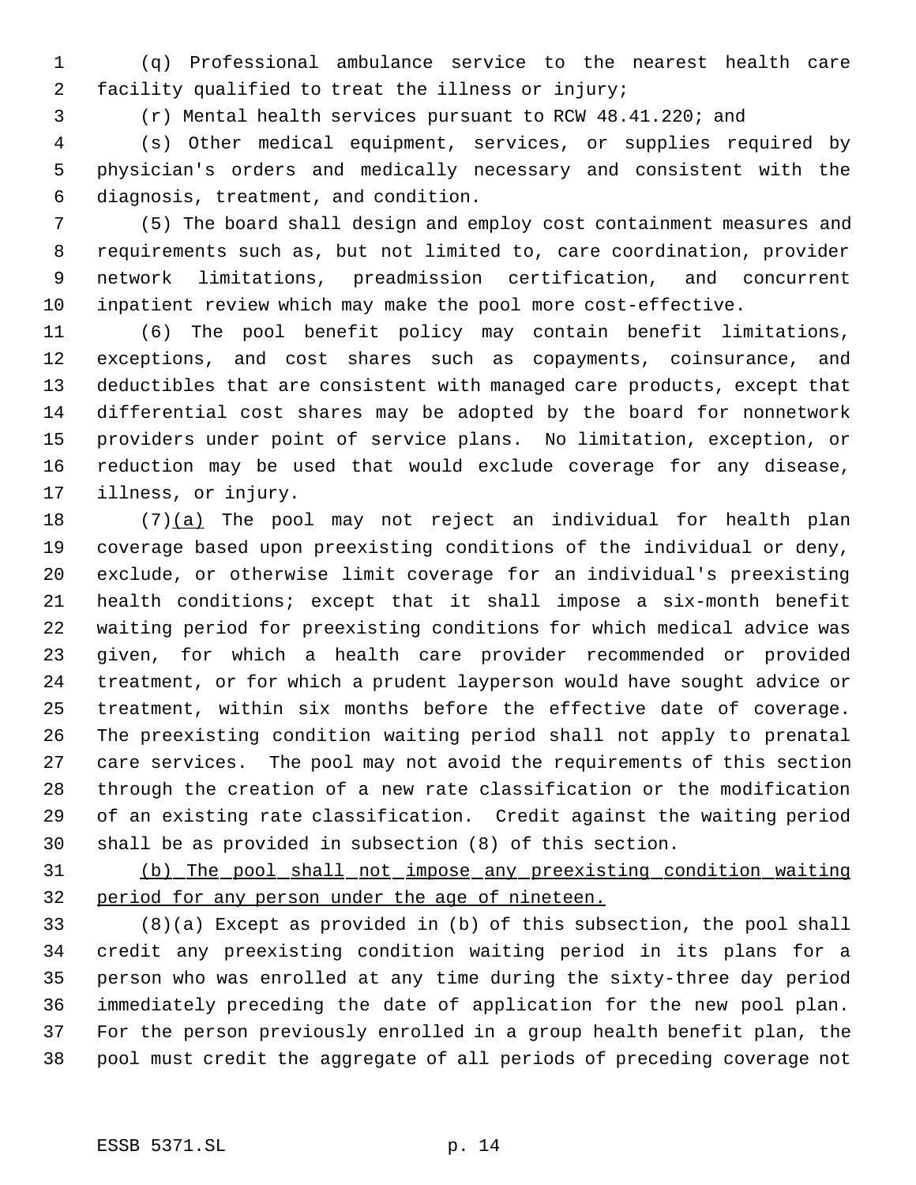(q) Professional ambulance service to the nearest health care facility qualified to treat the illness or injury;

(r) Mental health services pursuant to RCW 48.41.220; and

 (s) Other medical equipment, services, or supplies required by physician's orders and medically necessary and consistent with the diagnosis, treatment, and condition.

 (5) The board shall design and employ cost containment measures and requirements such as, but not limited to, care coordination, provider network limitations, preadmission certification, and concurrent inpatient review which may make the pool more cost-effective.

 (6) The pool benefit policy may contain benefit limitations, exceptions, and cost shares such as copayments, coinsurance, and deductibles that are consistent with managed care products, except that differential cost shares may be adopted by the board for nonnetwork providers under point of service plans. No limitation, exception, or reduction may be used that would exclude coverage for any disease, illness, or injury.

18 (7)(a) The pool may not reject an individual for health plan coverage based upon preexisting conditions of the individual or deny, exclude, or otherwise limit coverage for an individual's preexisting health conditions; except that it shall impose a six-month benefit waiting period for preexisting conditions for which medical advice was given, for which a health care provider recommended or provided treatment, or for which a prudent layperson would have sought advice or treatment, within six months before the effective date of coverage. The preexisting condition waiting period shall not apply to prenatal care services. The pool may not avoid the requirements of this section through the creation of a new rate classification or the modification of an existing rate classification. Credit against the waiting period shall be as provided in subsection (8) of this section.

 (b) The pool shall not impose any preexisting condition waiting period for any person under the age of nineteen.

 (8)(a) Except as provided in (b) of this subsection, the pool shall credit any preexisting condition waiting period in its plans for a person who was enrolled at any time during the sixty-three day period immediately preceding the date of application for the new pool plan. For the person previously enrolled in a group health benefit plan, the pool must credit the aggregate of all periods of preceding coverage not